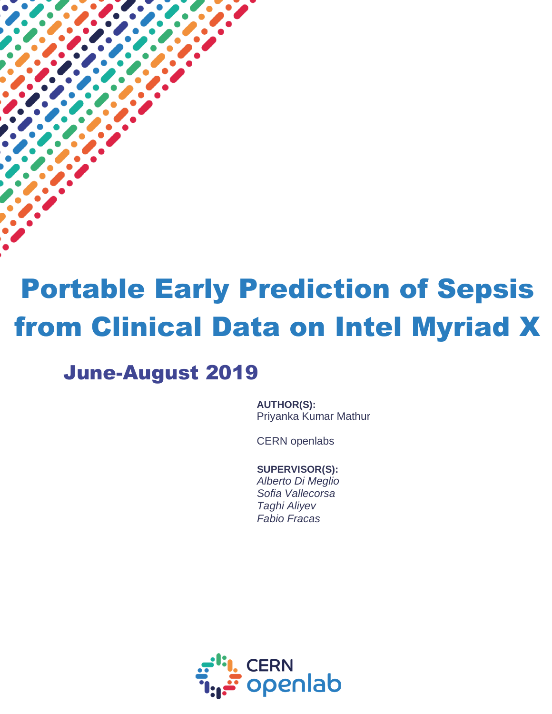# Portable Early Prediction of Sepsis from Clinical Data on Intel Myriad X

## June-August 2019

 $\overline{a}$ 

**AUTHOR(S):** Priyanka Kumar Mathur

CERN openlabs

**SUPERVISOR(S):** *Alberto Di Meglio Sofia Vallecorsa Taghi Aliyev*

*Fabio Fracas*

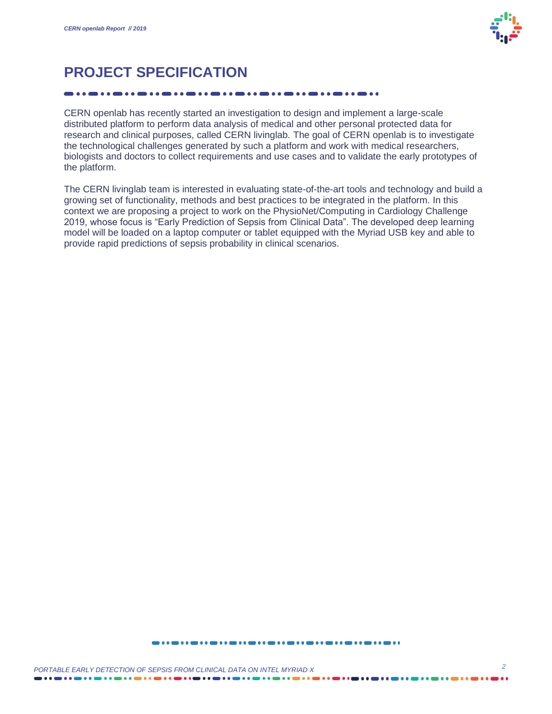

### **PROJECT SPECIFICATION**

CERN openlab has recently started an investigation to design and implement a large-scale distributed platform to perform data analysis of medical and other personal protected data for research and clinical purposes, called CERN livinglab. The goal of CERN openlab is to investigate the technological challenges generated by such a platform and work with medical researchers, biologists and doctors to collect requirements and use cases and to validate the early prototypes of the platform.

The CERN livinglab team is interested in evaluating state-of-the-art tools and technology and build a growing set of functionality, methods and best practices to be integrated in the platform. In this context we are proposing a project to work on the PhysioNet/Computing in Cardiology Challenge 2019, whose focus is "Early Prediction of Sepsis from Clinical Data". The developed deep learning model will be loaded on a laptop computer or tablet equipped with the Myriad USB key and able to provide rapid predictions of sepsis probability in clinical scenarios.

####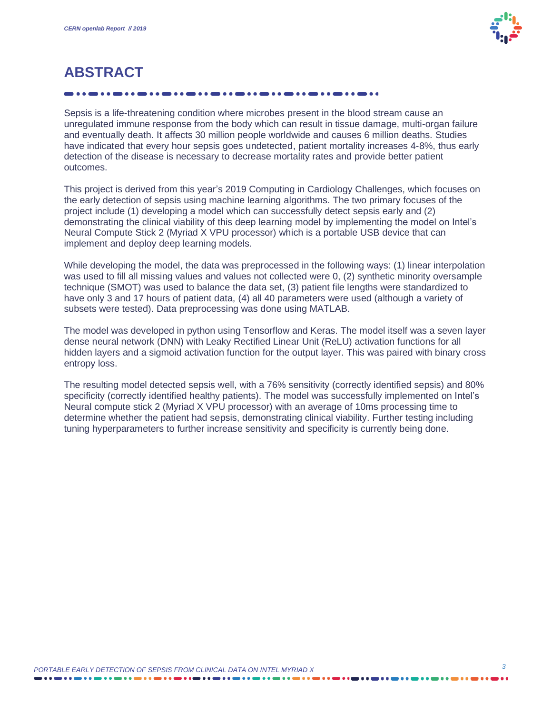

## **ABSTRACT**

Sepsis is a life-threatening condition where microbes present in the blood stream cause an unregulated immune response from the body which can result in tissue damage, multi-organ failure and eventually death. It affects 30 million people worldwide and causes 6 million deaths. Studies have indicated that every hour sepsis goes undetected, patient mortality increases 4-8%, thus early detection of the disease is necessary to decrease mortality rates and provide better patient outcomes.

This project is derived from this year's 2019 Computing in Cardiology Challenges, which focuses on the early detection of sepsis using machine learning algorithms. The two primary focuses of the project include (1) developing a model which can successfully detect sepsis early and (2) demonstrating the clinical viability of this deep learning model by implementing the model on Intel's Neural Compute Stick 2 (Myriad X VPU processor) which is a portable USB device that can implement and deploy deep learning models.

While developing the model, the data was preprocessed in the following ways: (1) linear interpolation was used to fill all missing values and values not collected were 0, (2) synthetic minority oversample technique (SMOT) was used to balance the data set, (3) patient file lengths were standardized to have only 3 and 17 hours of patient data, (4) all 40 parameters were used (although a variety of subsets were tested). Data preprocessing was done using MATLAB.

The model was developed in python using Tensorflow and Keras. The model itself was a seven layer dense neural network (DNN) with Leaky Rectified Linear Unit (ReLU) activation functions for all hidden layers and a sigmoid activation function for the output layer. This was paired with binary cross entropy loss.

The resulting model detected sepsis well, with a 76% sensitivity (correctly identified sepsis) and 80% specificity (correctly identified healthy patients). The model was successfully implemented on Intel's Neural compute stick 2 (Myriad X VPU processor) with an average of 10ms processing time to determine whether the patient had sepsis, demonstrating clinical viability. Further testing including tuning hyperparameters to further increase sensitivity and specificity is currently being done.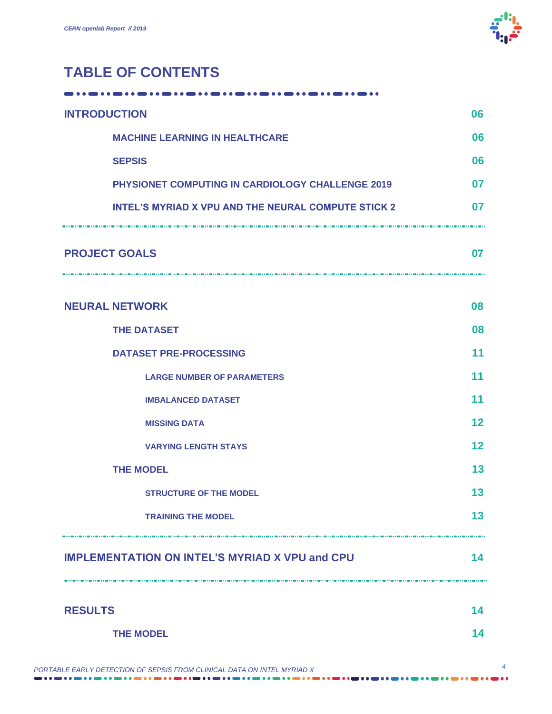

### **TABLE OF CONTENTS**

| <b>INTRODUCTION</b>                                         | 06 |
|-------------------------------------------------------------|----|
| <b>MACHINE LEARNING IN HEALTHCARE</b>                       | 06 |
| <b>SEPSIS</b>                                               | 06 |
| PHYSIONET COMPUTING IN CARDIOLOGY CHALLENGE 2019            | 07 |
| <b>INTEL'S MYRIAD X VPU AND THE NEURAL COMPUTE STICK 2</b>  | 07 |
| <b>PROJECT GOALS</b>                                        | 07 |
| <b>NEURAL NETWORK</b>                                       | 08 |
| <b>THE DATASET</b>                                          | 08 |
| <b>DATASET PRE-PROCESSING</b>                               | 11 |
| <b>LARGE NUMBER OF PARAMETERS</b>                           | 11 |
| <b>IMBALANCED DATASET</b>                                   | 11 |
| <b>MISSING DATA</b>                                         | 12 |
| <b>VARYING LENGTH STAYS</b>                                 | 12 |
| <b>THE MODEL</b>                                            |    |
| <b>STRUCTURE OF THE MODEL</b>                               | 13 |
| <b>TRAINING THE MODEL</b>                                   | 13 |
| <b>IMPLEMENTATION ON INTEL'S MYRIAD X VPU and CPU</b><br>14 |    |
| <b>RESULTS</b>                                              | 14 |
| <b>THE MODEL</b>                                            | 14 |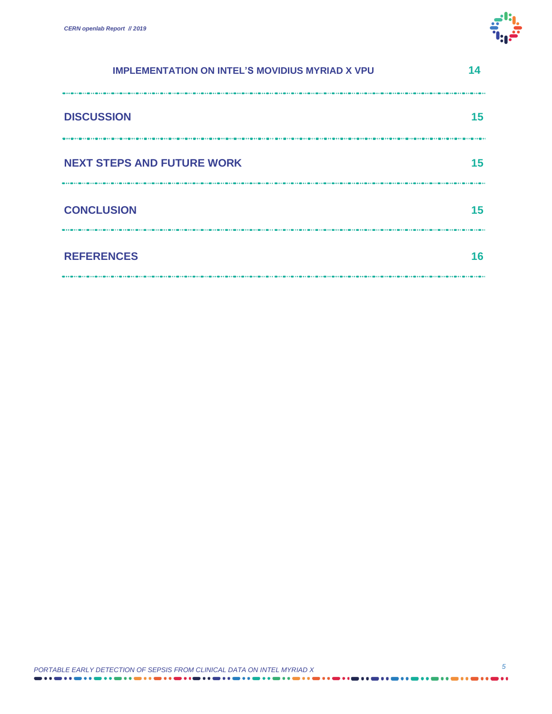

| <b>IMPLEMENTATION ON INTEL'S MOVIDIUS MYRIAD X VPU</b> |    |
|--------------------------------------------------------|----|
| <b>DISCUSSION</b>                                      | 15 |
| <b>NEXT STEPS AND FUTURE WORK</b>                      | 15 |
| <b>CONCLUSION</b>                                      | 15 |
| <b>REFERENCES</b>                                      | 16 |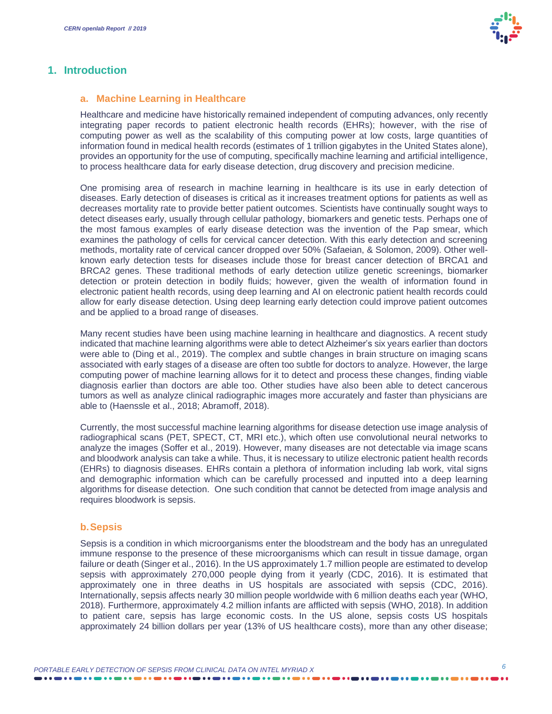

#### **1. Introduction**

#### **a. Machine Learning in Healthcare**

Healthcare and medicine have historically remained independent of computing advances, only recently integrating paper records to patient electronic health records (EHRs); however, with the rise of computing power as well as the scalability of this computing power at low costs, large quantities of information found in medical health records (estimates of 1 trillion gigabytes in the United States alone), provides an opportunity for the use of computing, specifically machine learning and artificial intelligence, to process healthcare data for early disease detection, drug discovery and precision medicine.

One promising area of research in machine learning in healthcare is its use in early detection of diseases. Early detection of diseases is critical as it increases treatment options for patients as well as decreases mortality rate to provide better patient outcomes. Scientists have continually sought ways to detect diseases early, usually through cellular pathology, biomarkers and genetic tests. Perhaps one of the most famous examples of early disease detection was the invention of the Pap smear, which examines the pathology of cells for cervical cancer detection. With this early detection and screening methods, mortality rate of cervical cancer dropped over 50% (Safaeian, & Solomon, 2009). Other wellknown early detection tests for diseases include those for breast cancer detection of BRCA1 and BRCA2 genes. These traditional methods of early detection utilize genetic screenings, biomarker detection or protein detection in bodily fluids; however, given the wealth of information found in electronic patient health records, using deep learning and AI on electronic patient health records could allow for early disease detection. Using deep learning early detection could improve patient outcomes and be applied to a broad range of diseases.

Many recent studies have been using machine learning in healthcare and diagnostics. A recent study indicated that machine learning algorithms were able to detect Alzheimer's six years earlier than doctors were able to (Ding et al., 2019). The complex and subtle changes in brain structure on imaging scans associated with early stages of a disease are often too subtle for doctors to analyze. However, the large computing power of machine learning allows for it to detect and process these changes, finding viable diagnosis earlier than doctors are able too. Other studies have also been able to detect cancerous tumors as well as analyze clinical radiographic images more accurately and faster than physicians are able to (Haenssle et al., 2018; Abramoff, 2018).

Currently, the most successful machine learning algorithms for disease detection use image analysis of radiographical scans (PET, SPECT, CT, MRI etc.), which often use convolutional neural networks to analyze the images (Soffer et al., 2019). However, many diseases are not detectable via image scans and bloodwork analysis can take a while. Thus, it is necessary to utilize electronic patient health records (EHRs) to diagnosis diseases. EHRs contain a plethora of information including lab work, vital signs and demographic information which can be carefully processed and inputted into a deep learning algorithms for disease detection. One such condition that cannot be detected from image analysis and requires bloodwork is sepsis.

#### **b.Sepsis**

Sepsis is a condition in which microorganisms enter the bloodstream and the body has an unregulated immune response to the presence of these microorganisms which can result in tissue damage, organ failure or death (Singer et al., 2016). In the US approximately 1.7 million people are estimated to develop sepsis with approximately 270,000 people dying from it yearly (CDC, 2016). It is estimated that approximately one in three deaths in US hospitals are associated with sepsis (CDC, 2016). Internationally, sepsis affects nearly 30 million people worldwide with 6 million deaths each year (WHO, 2018). Furthermore, approximately 4.2 million infants are afflicted with sepsis (WHO, 2018). In addition to patient care, sepsis has large economic costs. In the US alone, sepsis costs US hospitals approximately 24 billion dollars per year (13% of US healthcare costs), more than any other disease;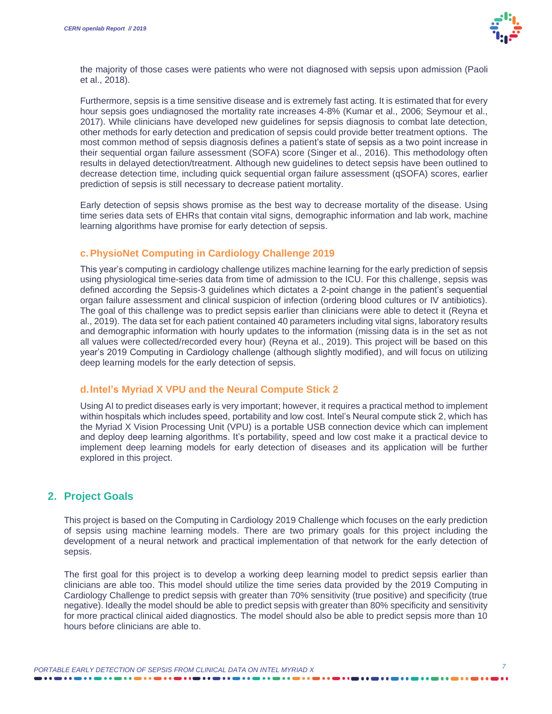

the majority of those cases were patients who were not diagnosed with sepsis upon admission (Paoli et al., 2018).

Furthermore, sepsis is a time sensitive disease and is extremely fast acting. It is estimated that for every hour sepsis goes undiagnosed the mortality rate increases 4-8% (Kumar et al., 2006; Seymour et al., 2017). While clinicians have developed new guidelines for sepsis diagnosis to combat late detection, other methods for early detection and predication of sepsis could provide better treatment options. The most common method of sepsis diagnosis defines a patient's state of sepsis as a two point increase in their sequential organ failure assessment (SOFA) score (Singer et al., 2016). This methodology often results in delayed detection/treatment. Although new guidelines to detect sepsis have been outlined to decrease detection time, including quick sequential organ failure assessment (qSOFA) scores, earlier prediction of sepsis is still necessary to decrease patient mortality.

Early detection of sepsis shows promise as the best way to decrease mortality of the disease. Using time series data sets of EHRs that contain vital signs, demographic information and lab work, machine learning algorithms have promise for early detection of sepsis.

#### **c.PhysioNet Computing in Cardiology Challenge 2019**

This year's computing in cardiology challenge utilizes machine learning for the early prediction of sepsis using physiological time-series data from time of admission to the ICU. For this challenge, sepsis was defined according the Sepsis-3 guidelines which dictates a 2-point change in the patient's sequential organ failure assessment and clinical suspicion of infection (ordering blood cultures or IV antibiotics). The goal of this challenge was to predict sepsis earlier than clinicians were able to detect it (Reyna et al., 2019). The data set for each patient contained 40 parameters including vital signs, laboratory results and demographic information with hourly updates to the information (missing data is in the set as not all values were collected/recorded every hour) (Reyna et al., 2019). This project will be based on this year's 2019 Computing in Cardiology challenge (although slightly modified), and will focus on utilizing deep learning models for the early detection of sepsis.

#### **d.Intel's Myriad X VPU and the Neural Compute Stick 2**

Using AI to predict diseases early is very important; however, it requires a practical method to implement within hospitals which includes speed, portability and low cost. Intel's Neural compute stick 2, which has the Myriad X Vision Processing Unit (VPU) is a portable USB connection device which can implement and deploy deep learning algorithms. It's portability, speed and low cost make it a practical device to implement deep learning models for early detection of diseases and its application will be further explored in this project.

#### **2. Project Goals**

This project is based on the Computing in Cardiology 2019 Challenge which focuses on the early prediction of sepsis using machine learning models. There are two primary goals for this project including the development of a neural network and practical implementation of that network for the early detection of sepsis.

The first goal for this project is to develop a working deep learning model to predict sepsis earlier than clinicians are able too. This model should utilize the time series data provided by the 2019 Computing in Cardiology Challenge to predict sepsis with greater than 70% sensitivity (true positive) and specificity (true negative). Ideally the model should be able to predict sepsis with greater than 80% specificity and sensitivity for more practical clinical aided diagnostics. The model should also be able to predict sepsis more than 10 hours before clinicians are able to.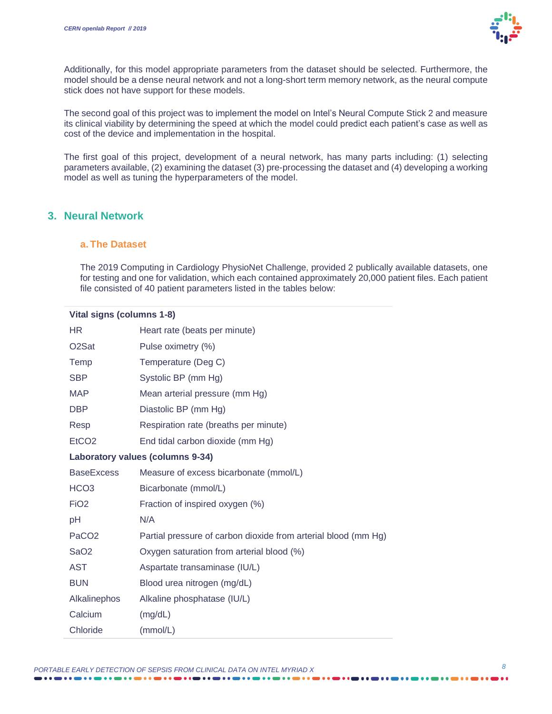

Additionally, for this model appropriate parameters from the dataset should be selected. Furthermore, the model should be a dense neural network and not a long-short term memory network, as the neural compute stick does not have support for these models.

The second goal of this project was to implement the model on Intel's Neural Compute Stick 2 and measure its clinical viability by determining the speed at which the model could predict each patient's case as well as cost of the device and implementation in the hospital.

The first goal of this project, development of a neural network, has many parts including: (1) selecting parameters available, (2) examining the dataset (3) pre-processing the dataset and (4) developing a working model as well as tuning the hyperparameters of the model.

#### **3. Neural Network**

#### **a. The Dataset**

The 2019 Computing in Cardiology PhysioNet Challenge, provided 2 publically available datasets, one for testing and one for validation, which each contained approximately 20,000 patient files. Each patient file consisted of 40 patient parameters listed in the tables below:

#### **Vital signs (columns 1-8)**

| <b>HR</b>                        | Heart rate (beats per minute)                                  |  |  |  |
|----------------------------------|----------------------------------------------------------------|--|--|--|
| O <sub>2</sub> Sat               | Pulse oximetry (%)                                             |  |  |  |
| Temp                             | Temperature (Deg C)                                            |  |  |  |
| <b>SBP</b>                       | Systolic BP (mm Hg)                                            |  |  |  |
| <b>MAP</b>                       | Mean arterial pressure (mm Hg)                                 |  |  |  |
| <b>DBP</b>                       | Diastolic BP (mm Hg)                                           |  |  |  |
| Resp                             | Respiration rate (breaths per minute)                          |  |  |  |
| EtCO <sub>2</sub>                | End tidal carbon dioxide (mm Hg)                               |  |  |  |
| Laboratory values (columns 9-34) |                                                                |  |  |  |
| <b>BaseExcess</b>                | Measure of excess bicarbonate (mmol/L)                         |  |  |  |
| HCO <sub>3</sub>                 | Bicarbonate (mmol/L)                                           |  |  |  |
| FiO <sub>2</sub>                 | Fraction of inspired oxygen (%)                                |  |  |  |
| рH                               | N/A                                                            |  |  |  |
| PaCO <sub>2</sub>                | Partial pressure of carbon dioxide from arterial blood (mm Hg) |  |  |  |
| SaO <sub>2</sub>                 | Oxygen saturation from arterial blood (%)                      |  |  |  |
| AST                              | Aspartate transaminase (IU/L)                                  |  |  |  |
| <b>BUN</b>                       | Blood urea nitrogen (mg/dL)                                    |  |  |  |
| Alkalinephos                     | Alkaline phosphatase (IU/L)                                    |  |  |  |
| Calcium                          | (mg/dL)                                                        |  |  |  |
| Chloride                         | (mmol/L)                                                       |  |  |  |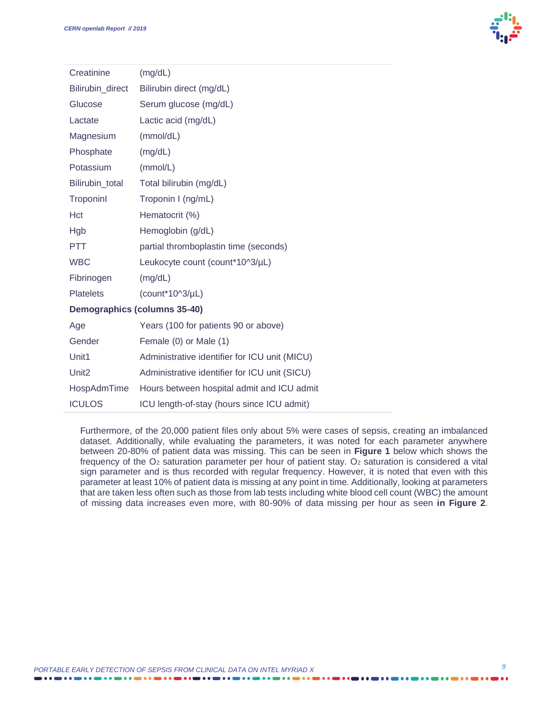

| Creatinine                   | (mg/dL)                                       |  |  |  |
|------------------------------|-----------------------------------------------|--|--|--|
| Bilirubin_direct             | Bilirubin direct (mg/dL)                      |  |  |  |
| Glucose                      | Serum glucose (mg/dL)                         |  |  |  |
| Lactate                      | Lactic acid (mg/dL)                           |  |  |  |
| Magnesium                    | (mmol/dL)                                     |  |  |  |
| Phosphate                    | (mg/dL)                                       |  |  |  |
| Potassium                    | (mmol/L)                                      |  |  |  |
| Bilirubin total              | Total bilirubin (mg/dL)                       |  |  |  |
| Troponinl                    | Troponin I (ng/mL)                            |  |  |  |
| Hct                          | Hematocrit (%)                                |  |  |  |
| Hgb                          | Hemoglobin (g/dL)                             |  |  |  |
| <b>PTT</b>                   | partial thromboplastin time (seconds)         |  |  |  |
| <b>WBC</b>                   | Leukocyte count (count*10^3/µL)               |  |  |  |
| Fibrinogen                   | (mg/dL)                                       |  |  |  |
| <b>Platelets</b>             | $(count*1013/µL)$                             |  |  |  |
| Demographics (columns 35-40) |                                               |  |  |  |
| Age                          | Years (100 for patients 90 or above)          |  |  |  |
| Gender                       | Female (0) or Male (1)                        |  |  |  |
| Unit1                        | Administrative identifier for ICU unit (MICU) |  |  |  |
| Unit <sub>2</sub>            | Administrative identifier for ICU unit (SICU) |  |  |  |
| HospAdmTime                  | Hours between hospital admit and ICU admit    |  |  |  |
| <b>ICULOS</b>                | ICU length-of-stay (hours since ICU admit)    |  |  |  |

Furthermore, of the 20,000 patient files only about 5% were cases of sepsis, creating an imbalanced dataset. Additionally, while evaluating the parameters, it was noted for each parameter anywhere between 20-80% of patient data was missing. This can be seen in **Figure 1** below which shows the frequency of the O<sub>2</sub> saturation parameter per hour of patient stay. O<sub>2</sub> saturation is considered a vital sign parameter and is thus recorded with regular frequency. However, it is noted that even with this parameter at least 10% of patient data is missing at any point in time. Additionally, looking at parameters that are taken less often such as those from lab tests including white blood cell count (WBC) the amount of missing data increases even more, with 80-90% of data missing per hour as seen **in Figure 2**.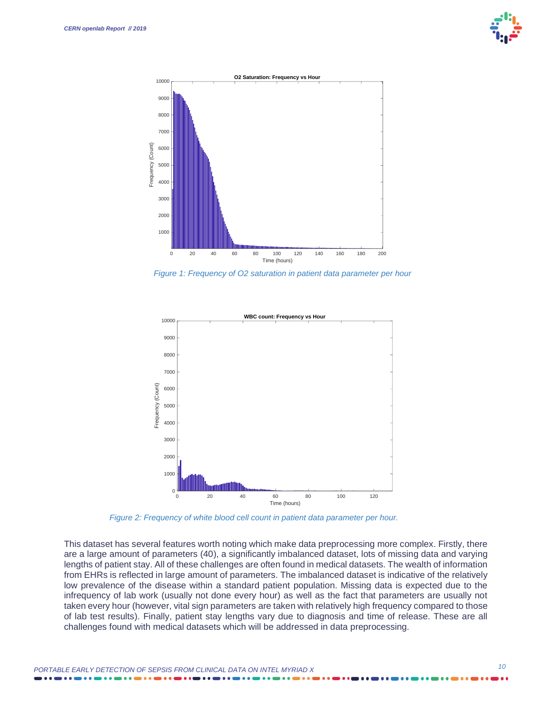



*Figure 1: Frequency of O2 saturation in patient data parameter per hour* 



*Figure 2: Frequency of white blood cell count in patient data parameter per hour.*

This dataset has several features worth noting which make data preprocessing more complex. Firstly, there are a large amount of parameters (40), a significantly imbalanced dataset, lots of missing data and varying lengths of patient stay. All of these challenges are often found in medical datasets. The wealth of information from EHRs is reflected in large amount of parameters. The imbalanced dataset is indicative of the relatively low prevalence of the disease within a standard patient population. Missing data is expected due to the infrequency of lab work (usually not done every hour) as well as the fact that parameters are usually not taken every hour (however, vital sign parameters are taken with relatively high frequency compared to those of lab test results). Finally, patient stay lengths vary due to diagnosis and time of release. These are all challenges found with medical datasets which will be addressed in data preprocessing.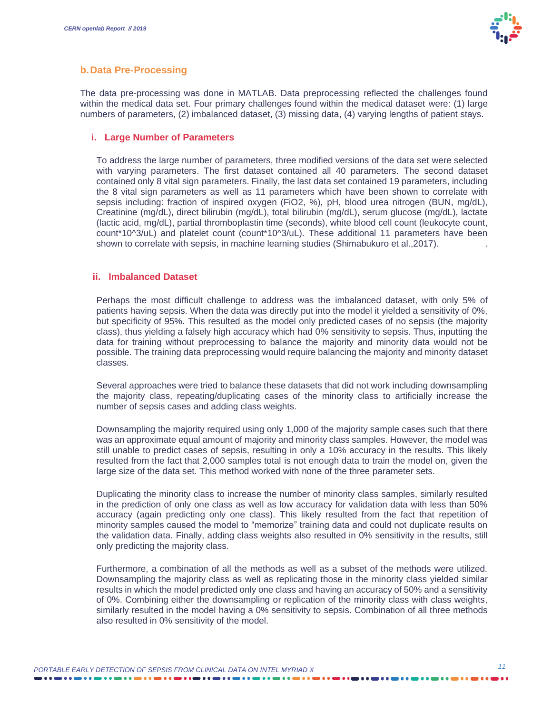

#### **b.Data Pre-Processing**

The data pre-processing was done in MATLAB. Data preprocessing reflected the challenges found within the medical data set. Four primary challenges found within the medical dataset were: (1) large numbers of parameters, (2) imbalanced dataset, (3) missing data, (4) varying lengths of patient stays.

#### **i. Large Number of Parameters**

To address the large number of parameters, three modified versions of the data set were selected with varying parameters. The first dataset contained all 40 parameters. The second dataset contained only 8 vital sign parameters. Finally, the last data set contained 19 parameters, including the 8 vital sign parameters as well as 11 parameters which have been shown to correlate with sepsis including: fraction of inspired oxygen (FiO2, %), pH, blood urea nitrogen (BUN, mg/dL), Creatinine (mg/dL), direct bilirubin (mg/dL), total bilirubin (mg/dL), serum glucose (mg/dL), lactate (lactic acid, mg/dL), partial thromboplastin time (seconds), white blood cell count (leukocyte count, count\*10^3/uL) and platelet count (count\*10^3/uL). These additional 11 parameters have been shown to correlate with sepsis, in machine learning studies (Shimabukuro et al., 2017).

#### **ii. Imbalanced Dataset**

Perhaps the most difficult challenge to address was the imbalanced dataset, with only 5% of patients having sepsis. When the data was directly put into the model it yielded a sensitivity of 0%, but specificity of 95%. This resulted as the model only predicted cases of no sepsis (the majority class), thus yielding a falsely high accuracy which had 0% sensitivity to sepsis. Thus, inputting the data for training without preprocessing to balance the majority and minority data would not be possible. The training data preprocessing would require balancing the majority and minority dataset classes.

Several approaches were tried to balance these datasets that did not work including downsampling the majority class, repeating/duplicating cases of the minority class to artificially increase the number of sepsis cases and adding class weights.

Downsampling the majority required using only 1,000 of the majority sample cases such that there was an approximate equal amount of majority and minority class samples. However, the model was still unable to predict cases of sepsis, resulting in only a 10% accuracy in the results. This likely resulted from the fact that 2,000 samples total is not enough data to train the model on, given the large size of the data set. This method worked with none of the three parameter sets.

Duplicating the minority class to increase the number of minority class samples, similarly resulted in the prediction of only one class as well as low accuracy for validation data with less than 50% accuracy (again predicting only one class). This likely resulted from the fact that repetition of minority samples caused the model to "memorize" training data and could not duplicate results on the validation data. Finally, adding class weights also resulted in 0% sensitivity in the results, still only predicting the majority class.

Furthermore, a combination of all the methods as well as a subset of the methods were utilized. Downsampling the majority class as well as replicating those in the minority class yielded similar results in which the model predicted only one class and having an accuracy of 50% and a sensitivity of 0%. Combining either the downsampling or replication of the minority class with class weights, similarly resulted in the model having a 0% sensitivity to sepsis. Combination of all three methods also resulted in 0% sensitivity of the model.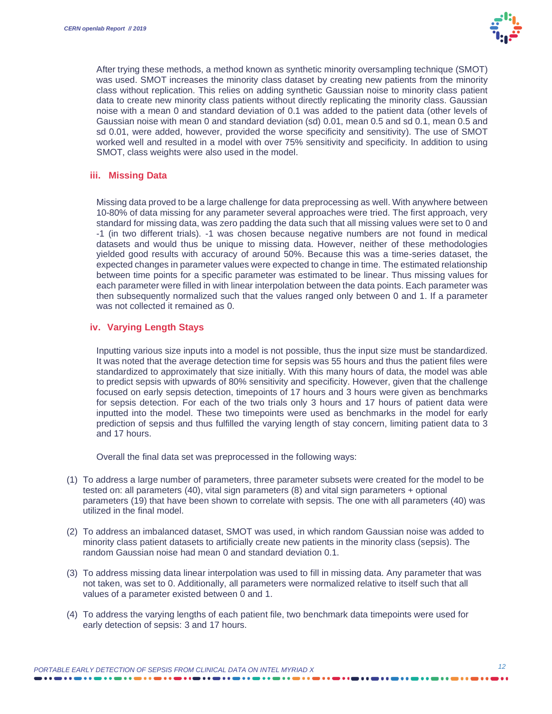

After trying these methods, a method known as synthetic minority oversampling technique (SMOT) was used. SMOT increases the minority class dataset by creating new patients from the minority class without replication. This relies on adding synthetic Gaussian noise to minority class patient data to create new minority class patients without directly replicating the minority class. Gaussian noise with a mean 0 and standard deviation of 0.1 was added to the patient data (other levels of Gaussian noise with mean 0 and standard deviation (sd) 0.01, mean 0.5 and sd 0.1, mean 0.5 and sd 0.01, were added, however, provided the worse specificity and sensitivity). The use of SMOT worked well and resulted in a model with over 75% sensitivity and specificity. In addition to using SMOT, class weights were also used in the model.

#### **iii. Missing Data**

Missing data proved to be a large challenge for data preprocessing as well. With anywhere between 10-80% of data missing for any parameter several approaches were tried. The first approach, very standard for missing data, was zero padding the data such that all missing values were set to 0 and -1 (in two different trials). -1 was chosen because negative numbers are not found in medical datasets and would thus be unique to missing data. However, neither of these methodologies yielded good results with accuracy of around 50%. Because this was a time-series dataset, the expected changes in parameter values were expected to change in time. The estimated relationship between time points for a specific parameter was estimated to be linear. Thus missing values for each parameter were filled in with linear interpolation between the data points. Each parameter was then subsequently normalized such that the values ranged only between 0 and 1. If a parameter was not collected it remained as 0.

#### **iv. Varying Length Stays**

Inputting various size inputs into a model is not possible, thus the input size must be standardized. It was noted that the average detection time for sepsis was 55 hours and thus the patient files were standardized to approximately that size initially. With this many hours of data, the model was able to predict sepsis with upwards of 80% sensitivity and specificity. However, given that the challenge focused on early sepsis detection, timepoints of 17 hours and 3 hours were given as benchmarks for sepsis detection. For each of the two trials only 3 hours and 17 hours of patient data were inputted into the model. These two timepoints were used as benchmarks in the model for early prediction of sepsis and thus fulfilled the varying length of stay concern, limiting patient data to 3 and 17 hours.

Overall the final data set was preprocessed in the following ways:

- (1) To address a large number of parameters, three parameter subsets were created for the model to be tested on: all parameters (40), vital sign parameters (8) and vital sign parameters + optional parameters (19) that have been shown to correlate with sepsis. The one with all parameters (40) was utilized in the final model.
- (2) To address an imbalanced dataset, SMOT was used, in which random Gaussian noise was added to minority class patient datasets to artificially create new patients in the minority class (sepsis). The random Gaussian noise had mean 0 and standard deviation 0.1.
- (3) To address missing data linear interpolation was used to fill in missing data. Any parameter that was not taken, was set to 0. Additionally, all parameters were normalized relative to itself such that all values of a parameter existed between 0 and 1.
- (4) To address the varying lengths of each patient file, two benchmark data timepoints were used for early detection of sepsis: 3 and 17 hours.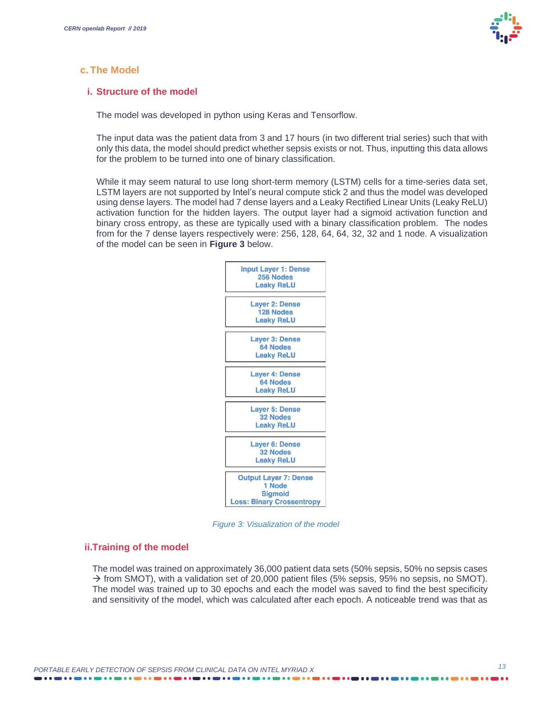

#### **c. The Model**

#### **i. Structure of the model**

The model was developed in python using Keras and Tensorflow.

The input data was the patient data from 3 and 17 hours (in two different trial series) such that with only this data, the model should predict whether sepsis exists or not. Thus, inputting this data allows for the problem to be turned into one of binary classification.

While it may seem natural to use long short-term memory (LSTM) cells for a time-series data set, LSTM layers are not supported by Intel's neural compute stick 2 and thus the model was developed using dense layers. The model had 7 dense layers and a Leaky Rectified Linear Units (Leaky ReLU) activation function for the hidden layers. The output layer had a sigmoid activation function and binary cross entropy, as these are typically used with a binary classification problem. The nodes from for the 7 dense layers respectively were: 256, 128, 64, 64, 32, 32 and 1 node. A visualization of the model can be seen in **Figure 3** below.



*Figure 3: Visualization of the model*

#### **ii.Training of the model**

The model was trained on approximately 36,000 patient data sets (50% sepsis, 50% no sepsis cases  $\rightarrow$  from SMOT), with a validation set of 20,000 patient files (5% sepsis, 95% no sepsis, no SMOT). The model was trained up to 30 epochs and each the model was saved to find the best specificity and sensitivity of the model, which was calculated after each epoch. A noticeable trend was that as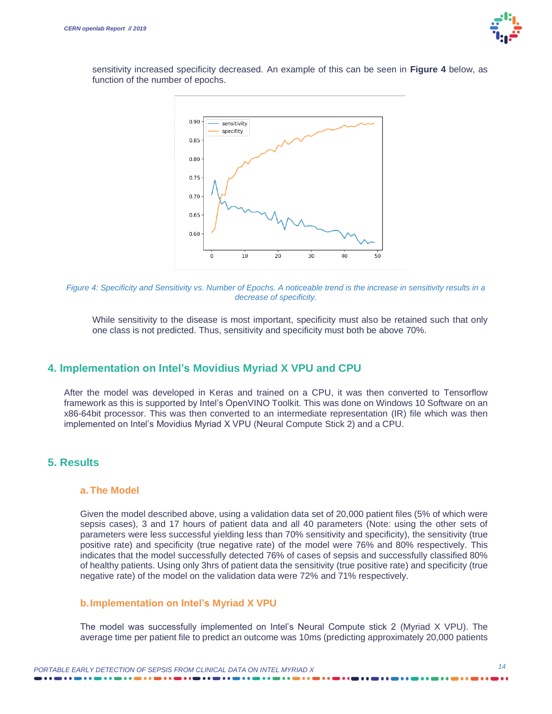

sensitivity increased specificity decreased. An example of this can be seen in **Figure 4** below, as function of the number of epochs.



*Figure 4: Specificity and Sensitivity vs. Number of Epochs. A noticeable trend is the increase in sensitivity results in a decrease of specificity.*

While sensitivity to the disease is most important, specificity must also be retained such that only one class is not predicted. Thus, sensitivity and specificity must both be above 70%.

#### **4. Implementation on Intel's Movidius Myriad X VPU and CPU**

After the model was developed in Keras and trained on a CPU, it was then converted to Tensorflow framework as this is supported by Intel's OpenVINO Toolkit. This was done on Windows 10 Software on an x86-64bit processor. This was then converted to an intermediate representation (IR) file which was then implemented on Intel's Movidius Myriad X VPU (Neural Compute Stick 2) and a CPU.

#### **5. Results**

#### **a. The Model**

Given the model described above, using a validation data set of 20,000 patient files (5% of which were sepsis cases), 3 and 17 hours of patient data and all 40 parameters (Note: using the other sets of parameters were less successful yielding less than 70% sensitivity and specificity), the sensitivity (true positive rate) and specificity (true negative rate) of the model were 76% and 80% respectively. This indicates that the model successfully detected 76% of cases of sepsis and successfully classified 80% of healthy patients. Using only 3hrs of patient data the sensitivity (true positive rate) and specificity (true negative rate) of the model on the validation data were 72% and 71% respectively.

#### **b.Implementation on Intel's Myriad X VPU**

The model was successfully implemented on Intel's Neural Compute stick 2 (Myriad X VPU). The average time per patient file to predict an outcome was 10ms (predicting approximately 20,000 patients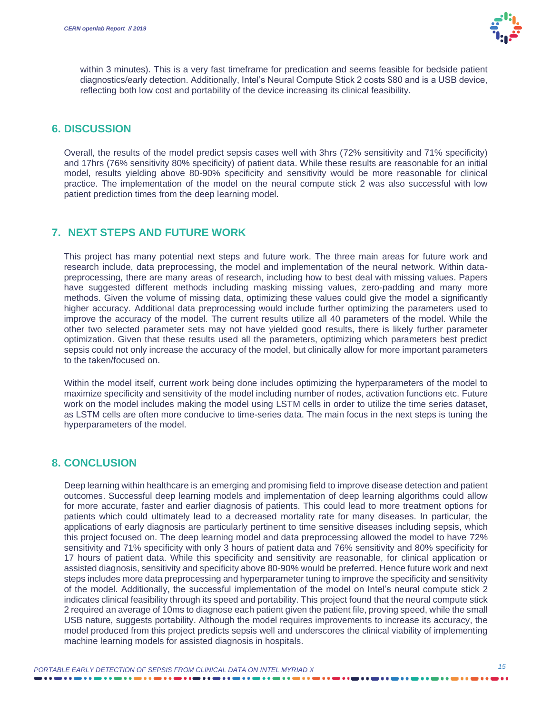

within 3 minutes). This is a very fast timeframe for predication and seems feasible for bedside patient diagnostics/early detection. Additionally, Intel's Neural Compute Stick 2 costs \$80 and is a USB device, reflecting both low cost and portability of the device increasing its clinical feasibility.

#### **6. DISCUSSION**

Overall, the results of the model predict sepsis cases well with 3hrs (72% sensitivity and 71% specificity) and 17hrs (76% sensitivity 80% specificity) of patient data. While these results are reasonable for an initial model, results yielding above 80-90% specificity and sensitivity would be more reasonable for clinical practice. The implementation of the model on the neural compute stick 2 was also successful with low patient prediction times from the deep learning model.

### **7. NEXT STEPS AND FUTURE WORK**

This project has many potential next steps and future work. The three main areas for future work and research include, data preprocessing, the model and implementation of the neural network. Within datapreprocessing, there are many areas of research, including how to best deal with missing values. Papers have suggested different methods including masking missing values, zero-padding and many more methods. Given the volume of missing data, optimizing these values could give the model a significantly higher accuracy. Additional data preprocessing would include further optimizing the parameters used to improve the accuracy of the model. The current results utilize all 40 parameters of the model. While the other two selected parameter sets may not have yielded good results, there is likely further parameter optimization. Given that these results used all the parameters, optimizing which parameters best predict sepsis could not only increase the accuracy of the model, but clinically allow for more important parameters to the taken/focused on.

Within the model itself, current work being done includes optimizing the hyperparameters of the model to maximize specificity and sensitivity of the model including number of nodes, activation functions etc. Future work on the model includes making the model using LSTM cells in order to utilize the time series dataset, as LSTM cells are often more conducive to time-series data. The main focus in the next steps is tuning the hyperparameters of the model.

#### **8. CONCLUSION**

Deep learning within healthcare is an emerging and promising field to improve disease detection and patient outcomes. Successful deep learning models and implementation of deep learning algorithms could allow for more accurate, faster and earlier diagnosis of patients. This could lead to more treatment options for patients which could ultimately lead to a decreased mortality rate for many diseases. In particular, the applications of early diagnosis are particularly pertinent to time sensitive diseases including sepsis, which this project focused on. The deep learning model and data preprocessing allowed the model to have 72% sensitivity and 71% specificity with only 3 hours of patient data and 76% sensitivity and 80% specificity for 17 hours of patient data. While this specificity and sensitivity are reasonable, for clinical application or assisted diagnosis, sensitivity and specificity above 80-90% would be preferred. Hence future work and next steps includes more data preprocessing and hyperparameter tuning to improve the specificity and sensitivity of the model. Additionally, the successful implementation of the model on Intel's neural compute stick 2 indicates clinical feasibility through its speed and portability. This project found that the neural compute stick 2 required an average of 10ms to diagnose each patient given the patient file, proving speed, while the small USB nature, suggests portability. Although the model requires improvements to increase its accuracy, the model produced from this project predicts sepsis well and underscores the clinical viability of implementing machine learning models for assisted diagnosis in hospitals.